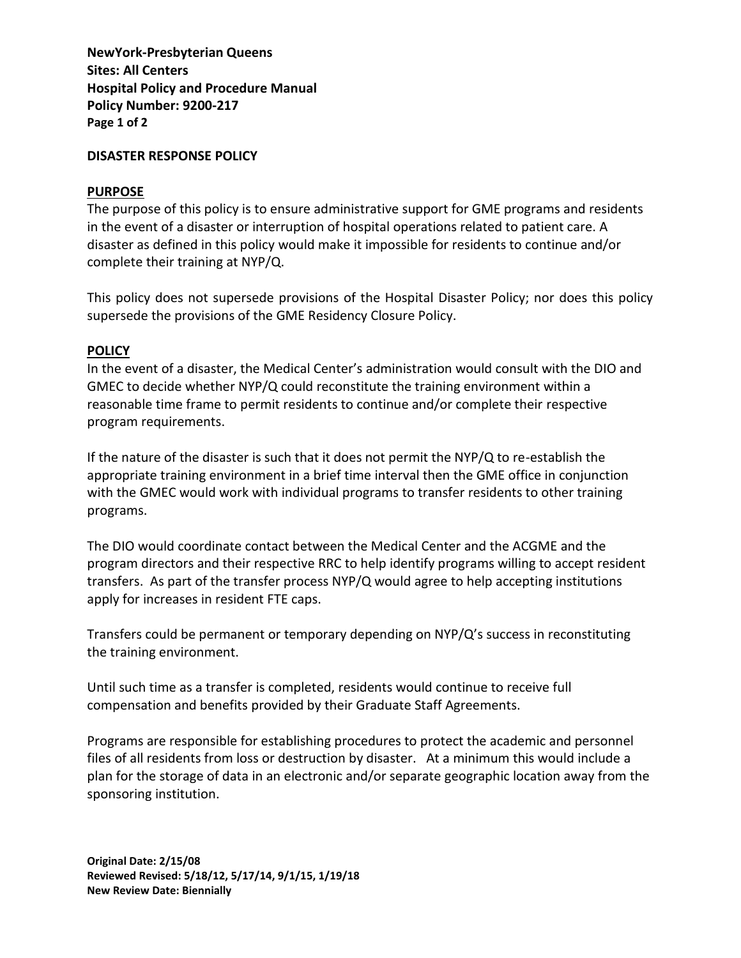**NewYork-Presbyterian Queens Sites: All Centers Hospital Policy and Procedure Manual Policy Number: 9200-217 Page 1 of 2**

## **DISASTER RESPONSE POLICY**

## **PURPOSE**

The purpose of this policy is to ensure administrative support for GME programs and residents in the event of a disaster or interruption of hospital operations related to patient care. A disaster as defined in this policy would make it impossible for residents to continue and/or complete their training at NYP/Q.

This policy does not supersede provisions of the Hospital Disaster Policy; nor does this policy supersede the provisions of the GME Residency Closure Policy.

## **POLICY**

In the event of a disaster, the Medical Center's administration would consult with the DIO and GMEC to decide whether NYP/Q could reconstitute the training environment within a reasonable time frame to permit residents to continue and/or complete their respective program requirements.

If the nature of the disaster is such that it does not permit the NYP/Q to re-establish the appropriate training environment in a brief time interval then the GME office in conjunction with the GMEC would work with individual programs to transfer residents to other training programs.

The DIO would coordinate contact between the Medical Center and the ACGME and the program directors and their respective RRC to help identify programs willing to accept resident transfers. As part of the transfer process NYP/Q would agree to help accepting institutions apply for increases in resident FTE caps.

Transfers could be permanent or temporary depending on NYP/Q's success in reconstituting the training environment.

Until such time as a transfer is completed, residents would continue to receive full compensation and benefits provided by their Graduate Staff Agreements.

Programs are responsible for establishing procedures to protect the academic and personnel files of all residents from loss or destruction by disaster. At a minimum this would include a plan for the storage of data in an electronic and/or separate geographic location away from the sponsoring institution.

**Original Date: 2/15/08 Reviewed Revised: 5/18/12, 5/17/14, 9/1/15, 1/19/18 New Review Date: Biennially**